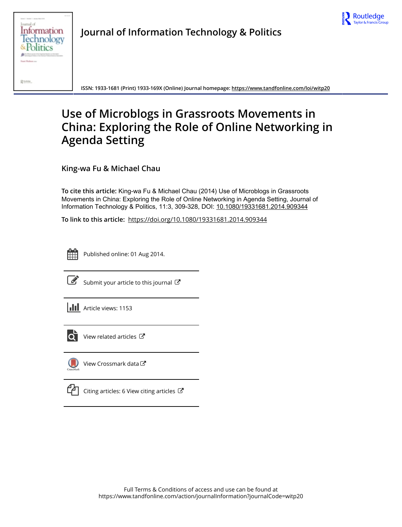



**Journal of Information Technology & Politics**

**ISSN: 1933-1681 (Print) 1933-169X (Online) Journal homepage: <https://www.tandfonline.com/loi/witp20>**

# **Use of Microblogs in Grassroots Movements in China: Exploring the Role of Online Networking in Agenda Setting**

**King-wa Fu & Michael Chau**

**To cite this article:** King-wa Fu & Michael Chau (2014) Use of Microblogs in Grassroots Movements in China: Exploring the Role of Online Networking in Agenda Setting, Journal of Information Technology & Politics, 11:3, 309-328, DOI: [10.1080/19331681.2014.909344](https://www.tandfonline.com/action/showCitFormats?doi=10.1080/19331681.2014.909344)

**To link to this article:** <https://doi.org/10.1080/19331681.2014.909344>

Published online: 01 Aug 2014.



 $\overline{\mathscr{L}}$  [Submit your article to this journal](https://www.tandfonline.com/action/authorSubmission?journalCode=witp20&show=instructions)  $\mathbb{Z}$ 





 $\overrightarrow{Q}$  [View related articles](https://www.tandfonline.com/doi/mlt/10.1080/19331681.2014.909344)  $\overrightarrow{C}$ 



[View Crossmark data](http://crossmark.crossref.org/dialog/?doi=10.1080/19331681.2014.909344&domain=pdf&date_stamp=2014-08-01) $\mathbb{Z}$ 

|--|

[Citing articles: 6 View citing articles](https://www.tandfonline.com/doi/citedby/10.1080/19331681.2014.909344#tabModule)  $\mathbb{C}^{\bullet}$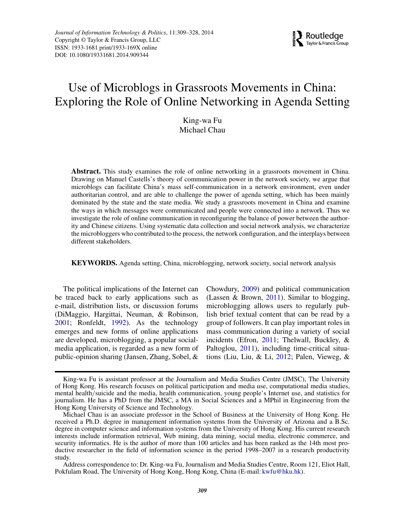

# Use of Microblogs in Grassroots Movements in China: Exploring the Role of Online Networking in Agenda Setting

King-wa Fu Michael Chau

**Abstract.** This study examines the role of online networking in a grassroots movement in China. Drawing on Manuel Castells's theory of communication power in the network society, we argue that microblogs can facilitate China's mass self-communication in a network environment, even under authoritarian control, and are able to challenge the power of agenda setting, which has been mainly dominated by the state and the state media. We study a grassroots movement in China and examine the ways in which messages were communicated and people were connected into a network. Thus we investigate the role of online communication in reconfiguring the balance of power between the authority and Chinese citizens. Using systematic data collection and social network analysis, we characterize the microbloggers who contributed to the process, the network configuration, and the interplays between different stakeholders.

**KEYWORDS.** Agenda setting, China, microblogging, network society, social network analysis

The political implications of the Internet can be traced back to early applications such as e-mail, distribution lists, or discussion forums (DiMaggio, Hargittai, Neuman, & Robinson, [2001;](#page-19-0) Ronfeldt, [1992\)](#page-20-0). As the technology emerges and new forms of online applications are developed, microblogging, a popular socialmedia application, is regarded as a new form of public-opinion sharing (Jansen, Zhang, Sobel, &

Chowdury, [2009\)](#page-20-1) and political communication (Lassen & Brown, [2011\)](#page-20-2). Similar to blogging, microblogging allows users to regularly publish brief textual content that can be read by a group of followers. It can play important roles in mass communication during a variety of social incidents (Efron, [2011;](#page-19-1) Thelwall, Buckley, & Paltoglou, [2011\)](#page-20-3), including time-critical situations (Liu, Liu, & Li, [2012;](#page-20-4) Palen, Vieweg, &

King-wa Fu is assistant professor at the Journalism and Media Studies Centre (JMSC), The University of Hong Kong. His research focuses on political participation and media use, computational media studies, mental health*/*suicide and the media, health communication, young people's Internet use, and statistics for journalism. He has a PhD from the JMSC, a MA in Social Sciences and a MPhil in Engineering from the Hong Kong University of Science and Technology.

Michael Chau is an associate professor in the School of Business at the University of Hong Kong. He received a Ph.D. degree in management information systems from the University of Arizona and a B.Sc. degree in computer science and information systems from the University of Hong Kong. His current research interests include information retrieval, Web mining, data mining, social media, electronic commerce, and security informatics. He is the author of more than 100 articles and has been ranked as the 14th most productive researcher in the field of information science in the period 1998–2007 in a research productivity study.

Address correspondence to: Dr. King-wa Fu, Journalism and Media Studies Centre, Room 121, Eliot Hall, Pokfulam Road, The University of Hong Kong, Hong Kong, China (E-mail: kwfu@hku.hk).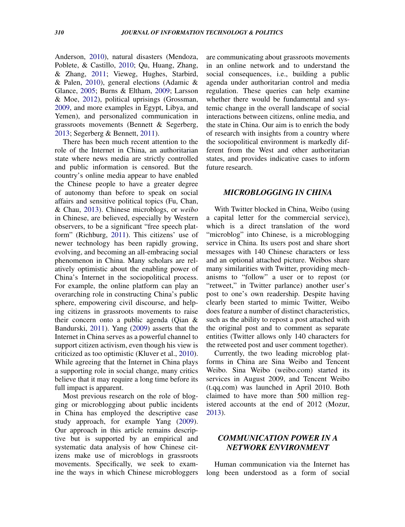Anderson, [2010\)](#page-20-5), natural disasters (Mendoza, Poblete, & Castillo, [2010;](#page-20-6) Qu, Huang, Zhang, & Zhang, [2011;](#page-20-7) Vieweg, Hughes, Starbird, & Palen, [2010\)](#page-20-8), general elections (Adamic & Glance, [2005;](#page-19-2) Burns & Eltham, [2009;](#page-19-3) Larsson & Moe, [2012\)](#page-20-9), political uprisings (Grossman, [2009,](#page-19-4) and more examples in Egypt, Libya, and Yemen), and personalized communication in grassroots movements (Bennett & Segerberg, [2013;](#page-19-5) Segerberg & Bennett, [2011\)](#page-20-10).

There has been much recent attention to the role of the Internet in China, an authoritarian state where news media are strictly controlled and public information is censored. But the country's online media appear to have enabled the Chinese people to have a greater degree of autonomy than before to speak on social affairs and sensitive political topics (Fu, Chan, & Chau, [2013\)](#page-19-6). Chinese microblogs, or *weibo* in Chinese, are believed, especially by Western observers, to be a significant "free speech platform" (Richburg, [2011\)](#page-20-11). This citizens' use of newer technology has been rapidly growing, evolving, and becoming an all-embracing social phenomenon in China. Many scholars are relatively optimistic about the enabling power of China's Internet in the sociopolitical process. For example, the online platform can play an overarching role in constructing China's public sphere, empowering civil discourse, and helping citizens in grassroots movements to raise their concern onto a public agenda (Qian & Bandurski, [2011\)](#page-20-12). Yang [\(2009\)](#page-20-13) asserts that the Internet in China serves as a powerful channel to support citizen activism, even though his view is criticized as too optimistic (Kluver et al., [2010\)](#page-20-14). While agreeing that the Internet in China plays a supporting role in social change, many critics believe that it may require a long time before its full impact is apparent.

Most previous research on the role of blogging or microblogging about public incidents in China has employed the descriptive case study approach, for example Yang [\(2009\)](#page-20-13). Our approach in this article remains descriptive but is supported by an empirical and systematic data analysis of how Chinese citizens make use of microblogs in grassroots movements. Specifically, we seek to examine the ways in which Chinese microbloggers are communicating about grassroots movements in an online network and to understand the social consequences, i.e., building a public agenda under authoritarian control and media regulation. These queries can help examine whether there would be fundamental and systemic change in the overall landscape of social interactions between citizens, online media, and the state in China. Our aim is to enrich the body of research with insights from a country where the sociopolitical environment is markedly different from the West and other authoritarian states, and provides indicative cases to inform future research.

## *MICROBLOGGING IN CHINA*

With Twitter blocked in China, Weibo (using a capital letter for the commercial service), which is a direct translation of the word "microblog" into Chinese, is a microblogging service in China. Its users post and share short messages with 140 Chinese characters or less and an optional attached picture. Weibos share many similarities with Twitter, providing mechanisms to "follow" a user or to repost (or "retweet," in Twitter parlance) another user's post to one's own readership. Despite having clearly been started to mimic Twitter, Weibo does feature a number of distinct characteristics, such as the ability to repost a post attached with the original post and to comment as separate entities (Twitter allows only 140 characters for the retweeted post and user comment together).

Currently, the two leading microblog platforms in China are Sina Weibo and Tencent Weibo. Sina Weibo (weibo.com) started its services in August 2009, and Tencent Weibo (t.qq.com) was launched in April 2010. Both claimed to have more than 500 million registered accounts at the end of 2012 (Mozur, [2013\)](#page-20-15).

# *COMMUNICATION POWER IN A NETWORK ENVIRONMENT*

Human communication via the Internet has long been understood as a form of social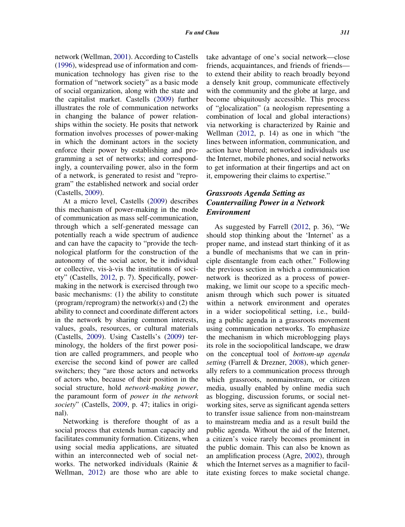network (Wellman, [2001\)](#page-20-16). According to Castells [\(1996\)](#page-19-7), widespread use of information and communication technology has given rise to the formation of "network society" as a basic mode of social organization, along with the state and the capitalist market. Castells [\(2009\)](#page-19-8) further illustrates the role of communication networks in changing the balance of power relationships within the society. He posits that network formation involves processes of power-making in which the dominant actors in the society enforce their power by establishing and programming a set of networks; and correspondingly, a countervailing power, also in the form of a network, is generated to resist and "reprogram" the established network and social order (Castells, [2009\)](#page-19-8).

At a micro level, Castells [\(2009\)](#page-19-8) describes this mechanism of power-making in the mode of communication as mass self-communication, through which a self-generated message can potentially reach a wide spectrum of audience and can have the capacity to "provide the technological platform for the construction of the autonomy of the social actor, be it individual or collective, vis-à-vis the institutions of society" (Castells, [2012,](#page-19-9) p. 7). Specifically, powermaking in the network is exercised through two basic mechanisms: (1) the ability to constitute (program*/*reprogram) the network(s) and (2) the ability to connect and coordinate different actors in the network by sharing common interests, values, goals, resources, or cultural materials (Castells, [2009\)](#page-19-8). Using Castells's [\(2009\)](#page-19-8) terminology, the holders of the first power position are called programmers, and people who exercise the second kind of power are called switchers; they "are those actors and networks of actors who, because of their position in the social structure, hold *network-making power*, the paramount form of *power in the network society*" (Castells, [2009,](#page-19-8) p. 47; italics in original).

Networking is therefore thought of as a social process that extends human capacity and facilitates community formation. Citizens, when using social media applications, are situated within an interconnected web of social networks. The networked individuals (Rainie & Wellman, [2012\)](#page-20-17) are those who are able to

take advantage of one's social network—close friends, acquaintances, and friends of friends to extend their ability to reach broadly beyond a densely knit group, communicate effectively with the community and the globe at large, and become ubiquitously accessible. This process of "glocalization" (a neologism representing a combination of local and global interactions) via networking is characterized by Rainie and Wellman [\(2012,](#page-20-17) p. 14) as one in which "the lines between information, communication, and action have blurred; networked individuals use the Internet, mobile phones, and social networks to get information at their fingertips and act on it, empowering their claims to expertise."

# *Grassroots Agenda Setting as Countervailing Power in a Network Environment*

As suggested by Farrell [\(2012,](#page-19-10) p. 36), "We should stop thinking about the 'Internet' as a proper name, and instead start thinking of it as a bundle of mechanisms that we can in principle disentangle from each other." Following the previous section in which a communication network is theorized as a process of powermaking, we limit our scope to a specific mechanism through which such power is situated within a network environment and operates in a wider sociopolitical setting, i.e., building a public agenda in a grassroots movement using communication networks. To emphasize the mechanism in which microblogging plays its role in the sociopolitical landscape, we draw on the conceptual tool of *bottom-up agenda setting* (Farrell & Drezner, [2008\)](#page-19-11), which generally refers to a communication process through which grassroots, nonmainstream, or citizen media, usually enabled by online media such as blogging, discussion forums, or social networking sites, serve as significant agenda setters to transfer issue salience from non-mainstream to mainstream media and as a result build the public agenda. Without the aid of the Internet, a citizen's voice rarely becomes prominent in the public domain. This can also be known as an amplification process (Agre, [2002\)](#page-19-12), through which the Internet serves as a magnifier to facilitate existing forces to make societal change.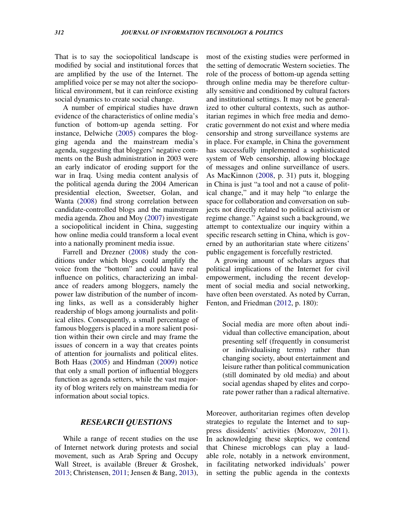That is to say the sociopolitical landscape is modified by social and institutional forces that are amplified by the use of the Internet. The amplified voice per se may not alter the sociopolitical environment, but it can reinforce existing social dynamics to create social change.

A number of empirical studies have drawn evidence of the characteristics of online media's function of bottom-up agenda setting. For instance, Delwiche [\(2005\)](#page-19-13) compares the blogging agenda and the mainstream media's agenda, suggesting that bloggers' negative comments on the Bush administration in 2003 were an early indicator of eroding support for the war in Iraq. Using media content analysis of the political agenda during the 2004 American presidential election, Sweetser, Golan, and Wanta [\(2008\)](#page-20-18) find strong correlation between candidate-controlled blogs and the mainstream media agenda. Zhou and Moy [\(2007\)](#page-20-19) investigate a sociopolitical incident in China, suggesting how online media could transform a local event into a nationally prominent media issue.

Farrell and Drezner [\(2008\)](#page-19-11) study the conditions under which blogs could amplify the voice from the "bottom" and could have real influence on politics, characterizing an imbalance of readers among bloggers, namely the power law distribution of the number of incoming links, as well as a considerably higher readership of blogs among journalists and political elites. Consequently, a small percentage of famous bloggers is placed in a more salient position within their own circle and may frame the issues of concern in a way that creates points of attention for journalists and political elites. Both Haas [\(2005\)](#page-19-14) and Hindman [\(2009\)](#page-19-15) notice that only a small portion of influential bloggers function as agenda setters, while the vast majority of blog writers rely on mainstream media for information about social topics.

## *RESEARCH QUESTIONS*

While a range of recent studies on the use of Internet network during protests and social movement, such as Arab Spring and Occupy Wall Street, is available (Breuer & Groshek, [2013;](#page-19-16) Christensen, [2011;](#page-19-17) Jensen & Bang, [2013\)](#page-20-20),

most of the existing studies were performed in the setting of democratic Western societies. The role of the process of bottom-up agenda setting through online media may be therefore culturally sensitive and conditioned by cultural factors and institutional settings. It may not be generalized to other cultural contexts, such as authoritarian regimes in which free media and democratic government do not exist and where media censorship and strong surveillance systems are in place. For example, in China the government has successfully implemented a sophisticated system of Web censorship, allowing blockage of messages and online surveillance of users. As MacKinnon [\(2008,](#page-20-21) p. 31) puts it, blogging in China is just "a tool and not a cause of political change," and it may help "to enlarge the space for collaboration and conversation on subjects not directly related to political activism or regime change." Against such a background, we attempt to contextualize our inquiry within a specific research setting in China, which is governed by an authoritarian state where citizens' public engagement is forcefully restricted.

A growing amount of scholars argues that political implications of the Internet for civil empowerment, including the recent development of social media and social networking, have often been overstated. As noted by Curran, Fenton, and Friedman [\(2012,](#page-19-18) p. 180):

> Social media are more often about individual than collective emancipation, about presenting self (frequently in consumerist or individualising terms) rather than changing society, about entertainment and leisure rather than political communication (still dominated by old media) and about social agendas shaped by elites and corporate power rather than a radical alternative.

Moreover, authoritarian regimes often develop strategies to regulate the Internet and to suppress dissidents' activities (Morozov, [2011\)](#page-20-22). In acknowledging these skeptics, we contend that Chinese microblogs can play a laudable role, notably in a network environment, in facilitating networked individuals' power in setting the public agenda in the contexts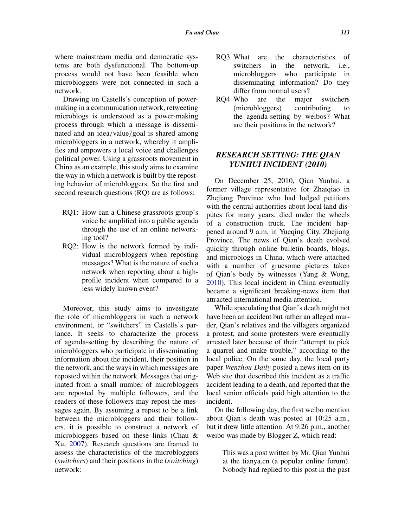where mainstream media and democratic systems are both dysfunctional. The bottom-up process would not have been feasible when microbloggers were not connected in such a network.

Drawing on Castells's conception of powermaking in a communication network, retweeting microblogs is understood as a power-making process through which a message is disseminated and an idea*/*value*/*goal is shared among microbloggers in a network, whereby it amplifies and empowers a local voice and challenges political power. Using a grassroots movement in China as an example, this study aims to examine the way in which a network is built by the reposting behavior of microbloggers. So the first and second research questions (RQ) are as follows:

- RQ1: How can a Chinese grassroots group's voice be amplified into a public agenda through the use of an online networking tool?
- RQ2: How is the network formed by individual microbloggers when reposting messages? What is the nature of such a network when reporting about a highprofile incident when compared to a less widely known event?

Moreover, this study aims to investigate the role of microbloggers in such a network environment, or "switchers" in Castells's parlance. It seeks to characterize the process of agenda-setting by describing the nature of microbloggers who participate in disseminating information about the incident, their position in the network, and the ways in which messages are reposted within the network. Messages that originated from a small number of microbloggers are reposted by multiple followers, and the readers of these followers may repost the messages again. By assuming a repost to be a link between the microbloggers and their followers, it is possible to construct a network of microbloggers based on these links (Chau & Xu, [2007\)](#page-19-19). Research questions are framed to assess the characteristics of the microbloggers (*switchers*) and their positions in the (*switching*) network:

- RQ3 What are the characteristics of switchers in the network, i.e., microbloggers who participate in disseminating information? Do they differ from normal users?
- RQ4 Who are the major switchers (microbloggers) contributing to the agenda-setting by weibos? What are their positions in the network?

## *RESEARCH SETTING: THE QIAN YUNHUI INCIDENT (2010)*

On December 25, 2010, Qian Yunhui, a former village representative for Zhaiqiao in Zhejiang Province who had lodged petitions with the central authorities about local land disputes for many years, died under the wheels of a construction truck. The incident happened around 9 a.m. in Yueqing City, Zhejiang Province. The news of Qian's death evolved quickly through online bulletin boards, blogs, and microblogs in China, which were attached with a number of gruesome pictures taken of Qian's body by witnesses (Yang & Wong, [2010\)](#page-20-23). This local incident in China eventually became a significant breaking-news item that attracted international media attention.

While speculating that Qian's death might not have been an accident but rather an alleged murder, Qian's relatives and the villagers organized a protest, and some protesters were eventually arrested later because of their "attempt to pick a quarrel and make trouble," according to the local police. On the same day, the local party paper *Wenzhou Daily* posted a news item on its Web site that described this incident as a traffic accident leading to a death, and reported that the local senior officials paid high attention to the incident.

On the following day, the first weibo mention about Qian's death was posted at 10:25 a.m., but it drew little attention. At 9:26 p.m., another weibo was made by Blogger Z, which read:

> This was a post written by Mr. Qian Yunhui at the tianya.cn (a popular online forum). Nobody had replied to this post in the past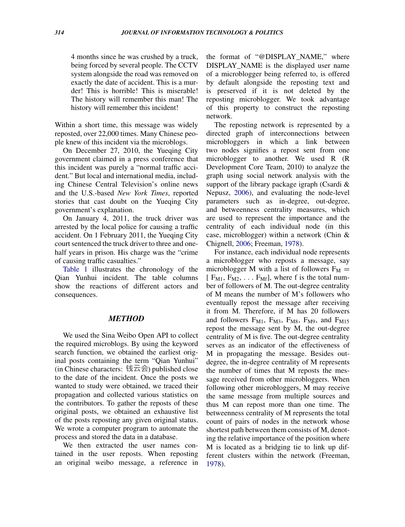4 months since he was crushed by a truck, being forced by several people. The CCTV system alongside the road was removed on exactly the date of accident. This is a murder! This is horrible! This is miserable! The history will remember this man! The history will remember this incident!

Within a short time, this message was widely reposted, over 22,000 times. Many Chinese people knew of this incident via the microblogs.

On December 27, 2010, the Yueqing City government claimed in a press conference that this incident was purely a "normal traffic accident." But local and international media, including Chinese Central Television's online news and the U.S.-based *New York Times*, reported stories that cast doubt on the Yueqing City government's explanation.

On January 4, 2011, the truck driver was arrested by the local police for causing a traffic accident. On 1 February 2011, the Yueqing City court sentenced the truck driver to three and onehalf years in prison. His charge was the "crime of causing traffic casualties."

[Table 1](#page-7-0) illustrates the chronology of the Qian Yunhui incident. The table columns show the reactions of different actors and consequences.

#### *METHOD*

We used the Sina Weibo Open API to collect the required microblogs. By using the keyword search function, we obtained the earliest original posts containing the term "Qian Yunhui" (in Chinese characters:  $\sharp \sharp \Sigma \hat{\Xi}$ ) published close to the date of the incident. Once the posts we wanted to study were obtained, we traced their propagation and collected various statistics on the contributors. To gather the reposts of these original posts, we obtained an exhaustive list of the posts reposting any given original status. We wrote a computer program to automate the process and stored the data in a database.

We then extracted the user names contained in the user reposts. When reposting an original weibo message, a reference in the format of "@DISPLAY\_NAME," where DISPLAY\_NAME is the displayed user name of a microblogger being referred to, is offered by default alongside the reposting text and is preserved if it is not deleted by the reposting microblogger. We took advantage of this property to construct the reposting network.

The reposting network is represented by a directed graph of interconnections between microbloggers in which a link between two nodes signifies a repost sent from one microblogger to another. We used R (R Development Core Team, 2010) to analyze the graph using social network analysis with the support of the library package igraph (Csardi & Nepusz, [2006\)](#page-19-20), and evaluating the node-level parameters such as in-degree, out-degree, and betweenness centrality measures, which are used to represent the importance and the centrality of each individual node (in this case, microblogger) within a network (Chin & Chignell, [2006;](#page-19-21) Freeman, [1978\)](#page-19-22).

For instance, each individual node represents a microblogger who reposts a message, say microblogger M with a list of followers  $F_M =$  $[F_{M1}, F_{M2}, \ldots F_{Mf}]$ , where f is the total number of followers of M. The out-degree centrality of M means the number of M's followers who eventually repost the message after receiving it from M. Therefore, if M has 20 followers and followers  $F_{M1}$ ,  $F_{M3}$ ,  $F_{M8}$ ,  $F_{M9}$ , and  $F_{M15}$ repost the message sent by M, the out-degree centrality of M is five. The out-degree centrality serves as an indicator of the effectiveness of M in propagating the message. Besides outdegree, the in-degree centrality of M represents the number of times that M reposts the message received from other microbloggers. When following other microbloggers, M may receive the same message from multiple sources and thus M can repost more than one time. The betweenness centrality of M represents the total count of pairs of nodes in the network whose shortest path between them consists of M, denoting the relative importance of the position where M is located as a bridging tie to link up different clusters within the network (Freeman, [1978\)](#page-19-22).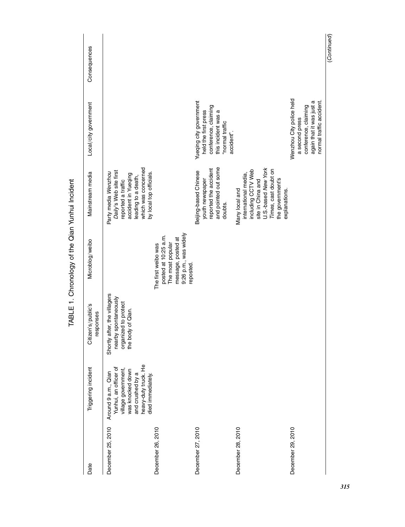| Date              | Triggering incident                                                                                                                                      | tizen's/public's<br>responses<br>ō                                                                | Microblog/weibo                                                                                                             | Mainstream media                                                                                                                                                      | Local/city government                                                                                                           | Consequences |
|-------------------|----------------------------------------------------------------------------------------------------------------------------------------------------------|---------------------------------------------------------------------------------------------------|-----------------------------------------------------------------------------------------------------------------------------|-----------------------------------------------------------------------------------------------------------------------------------------------------------------------|---------------------------------------------------------------------------------------------------------------------------------|--------------|
| December 25, 2010 | heavy-duty truck. He<br>Around 9 a.m., Qian<br>Yunhui, an officer of<br>village government,<br>was knocked down<br>and crushed by a<br>died immediately. | Shortly after, the villagers<br>nearby spontaneously<br>organized to protect<br>the body of Qian. |                                                                                                                             | which was concerned<br>Daily's Web site first<br>Party media Wenzhou<br>by local top officials.<br>accident in Yueqing<br>leading to a death,<br>reported a traffic   |                                                                                                                                 |              |
| December 26, 2010 |                                                                                                                                                          |                                                                                                   | 9:26 p.m., was widely<br>posted at 10:25 a.m.<br>message, posted at<br>The first welbo was<br>The most popular<br>reposted. |                                                                                                                                                                       |                                                                                                                                 |              |
| December 27, 2010 |                                                                                                                                                          |                                                                                                   |                                                                                                                             | and pointed out some<br>reported the accident<br>Beijing-based Chinese<br>youth newspaper<br>doubts.                                                                  | Yueqing city government<br>conference, claiming<br>this incident was a<br>held the first press<br>"normal traffic<br>accident". |              |
| December 28, 2010 |                                                                                                                                                          |                                                                                                   |                                                                                                                             | U.S.-based New York<br>Times, cast doubt on<br>including CCTV Web<br>international media,<br>the government's<br>site in China and<br>Many local and<br>explanations. |                                                                                                                                 |              |
| December 29, 2010 |                                                                                                                                                          |                                                                                                   |                                                                                                                             |                                                                                                                                                                       | Wenzhou City police held<br>normal traffic accident.<br>again that it was just a<br>conference, claiming<br>a second press      |              |
|                   |                                                                                                                                                          |                                                                                                   |                                                                                                                             |                                                                                                                                                                       |                                                                                                                                 | (Continued)  |

<span id="page-7-0"></span>TABLE 1. Chronology of the Qian Yunhui Incident TABLE 1. Chronology of the Qian Yunhui Incident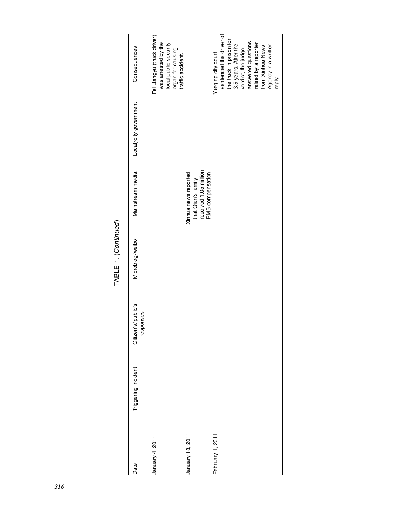| j      |
|--------|
| Ţ<br>ī |

| Date             | Triggering incident | Citizen's/public's<br>responses | Microblog/weibo | Mainstream media                                                    | Local/city government | Consequences                                                               |
|------------------|---------------------|---------------------------------|-----------------|---------------------------------------------------------------------|-----------------------|----------------------------------------------------------------------------|
| January 4, 2011  |                     |                                 |                 |                                                                     |                       | Fei Liangyu (truck driver)<br>was arrested by the<br>local public security |
|                  |                     |                                 |                 |                                                                     |                       | organ for causing<br>traffic accident.                                     |
| January 18, 2011 |                     |                                 |                 | received 1.05 million<br>Xinhua news reported<br>that Qian's family |                       |                                                                            |
|                  |                     |                                 |                 | RMB compensation.                                                   |                       |                                                                            |
| February 1, 2011 |                     |                                 |                 |                                                                     |                       | sentenced the driver of<br>Yueqing city court                              |
|                  |                     |                                 |                 |                                                                     |                       | the truck in prison for                                                    |
|                  |                     |                                 |                 |                                                                     |                       | 3.5 years. After the                                                       |
|                  |                     |                                 |                 |                                                                     |                       | verdict, the judge                                                         |
|                  |                     |                                 |                 |                                                                     |                       | answered questions                                                         |
|                  |                     |                                 |                 |                                                                     |                       | raised by a reporter                                                       |
|                  |                     |                                 |                 |                                                                     |                       | from Xinhua News                                                           |
|                  |                     |                                 |                 |                                                                     |                       | Agency in a written                                                        |
|                  |                     |                                 |                 |                                                                     |                       | reply.                                                                     |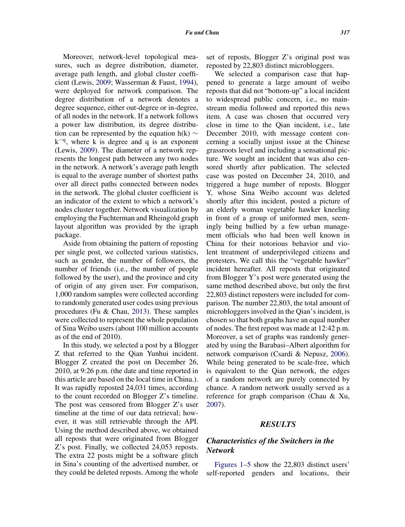Moreover, network-level topological measures, such as degree distribution, diameter, average path length, and global cluster coefficient (Lewis, [2009;](#page-20-24) Wasserman & Faust, [1994\)](#page-20-25), were deployed for network comparison. The degree distribution of a network denotes a degree sequence, either out-degree or in-degree, of all nodes in the network. If a network follows a power law distribution, its degree distribution can be represented by the equation h(k)  $\sim$  $k^{-q}$ , where k is degree and q is an exponent (Lewis, [2009\)](#page-20-24). The diameter of a network represents the longest path between any two nodes in the network. A network's average path length is equal to the average number of shortest paths over all direct paths connected between nodes in the network. The global cluster coefficient is an indicator of the extent to which a network's nodes cluster together. Network visualization by employing the Fuchterman and Rheingold graph layout algorithm was provided by the igraph package.

Aside from obtaining the pattern of reposting per single post, we collected various statistics, such as gender, the number of followers, the number of friends (i.e., the number of people followed by the user), and the province and city of origin of any given user. For comparison, 1,000 random samples were collected according to randomly generated user codes using previous procedures (Fu & Chau, [2013\)](#page-19-23). These samples were collected to represent the whole population of Sina Weibo users (about 100 million accounts as of the end of 2010).

In this study, we selected a post by a Blogger Z that referred to the Qian Yunhui incident. Blogger Z created the post on December 26, 2010, at 9:26 p.m. (the date and time reported in this article are based on the local time in China.). It was rapidly reposted 24,031 times, according to the count recorded on Blogger Z's timeline. The post was censored from Blogger Z's user timeline at the time of our data retrieval; however, it was still retrievable through the API. Using the method described above, we obtained all reposts that were originated from Blogger Z's post. Finally, we collected 24,053 reposts. The extra 22 posts might be a software glitch in Sina's counting of the advertised number, or they could be deleted reposts. Among the whole

set of reposts, Blogger Z's original post was reposted by 22,803 distinct microbloggers.

We selected a comparison case that happened to generate a large amount of weibo reposts that did not "bottom-up" a local incident to widespread public concern, i.e., no mainstream media followed and reported this news item. A case was chosen that occurred very close in time to the Qian incident, i.e., late December 2010, with message content concerning a socially unjust issue at the Chinese grassroots level and including a sensational picture. We sought an incident that was also censored shortly after publication. The selected case was posted on December 24, 2010, and triggered a huge number of reposts. Blogger Y, whose Sina Weibo account was deleted shortly after this incident, posted a picture of an elderly woman vegetable hawker kneeling in front of a group of uniformed men, seemingly being bullied by a few urban management officials who had been well known in China for their notorious behavior and violent treatment of underprivileged citizens and protesters. We call this the "vegetable hawker" incident hereafter. All reposts that originated from Blogger Y's post were generated using the same method described above, but only the first 22,803 distinct reposters were included for comparison. The number 22,803, the total amount of microbloggers involved in the Qian's incident, is chosen so that both graphs have an equal number of nodes. The first repost was made at 12:42 p.m. Moreover, a set of graphs was randomly generated by using the Barabasi–Albert algorithm for network comparison (Csardi & Nepusz, [2006\)](#page-19-20). While being generated to be scale-free, which is equivalent to the Qian network, the edges of a random network are purely connected by chance. A random network usually served as a reference for graph comparison (Chau & Xu, [2007\)](#page-19-19).

### *RESULTS*

## *Characteristics of the Switchers in the Network*

[Figures 1](#page-10-0)[–5](#page-12-0) show the 22,803 distinct users' self-reported genders and locations, their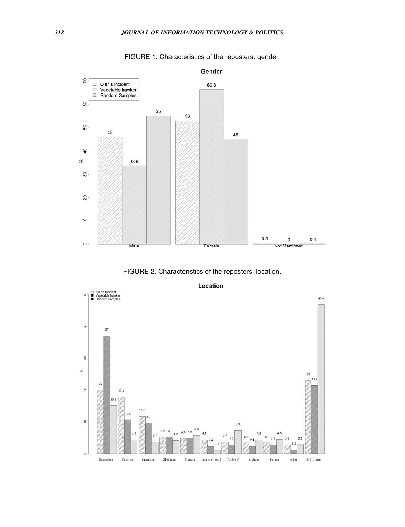<span id="page-10-0"></span>

FIGURE 1. Characteristics of the reposters: gender.





Location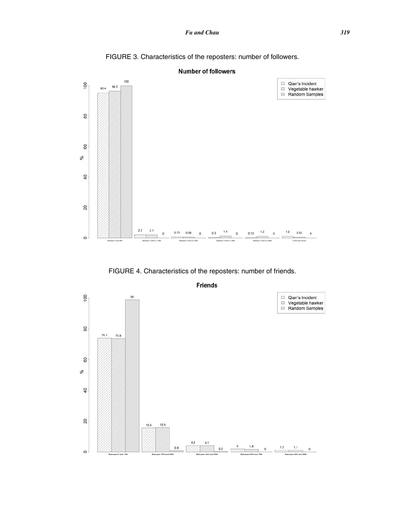

FIGURE 3. Characteristics of the reposters: number of followers.





**Friends**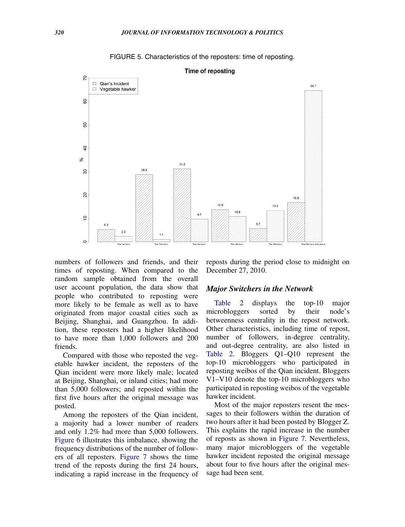<span id="page-12-0"></span>

FIGURE 5. Characteristics of the reposters: time of reposting.

numbers of followers and friends, and their times of reposting. When compared to the random sample obtained from the overall user account population, the data show that people who contributed to reposting were more likely to be female as well as to have originated from major coastal cities such as Beijing, Shanghai, and Guangzhou. In addition, these reposters had a higher likelihood to have more than 1,000 followers and 200 friends.

Compared with those who reposted the vegetable hawker incident, the reposters of the Qian incident were more likely male; located at Beijing, Shanghai, or inland cities; had more than 5,000 followers; and reposted within the first five hours after the original message was posted.

Among the reposters of the Qian incident, a majority had a lower number of readers and only 1.2% had more than 5,000 followers. [Figure 6](#page-13-0) illustrates this imbalance, showing the frequency distributions of the number of followers of all reposters. [Figure 7](#page-13-1) shows the time trend of the reposts during the first 24 hours, indicating a rapid increase in the frequency of

reposts during the period close to midnight on December 27, 2010.

#### *Major Switchers in the Network*

[Table 2](#page-14-0) displays the top-10 major microbloggers sorted by their node's betweenness centrality in the repost network. Other characteristics, including time of repost, number of followers, in-degree centrality, and out-degree centrality, are also listed in [Table 2.](#page-14-0) Bloggers Q1–Q10 represent the top-10 microbloggers who participated in reposting weibos of the Qian incident. Bloggers V1–V10 denote the top-10 microbloggers who participated in reposting weibos of the vegetable hawker incident.

Most of the major reposters resent the messages to their followers within the duration of two hours after it had been posted by Blogger Z. This explains the rapid increase in the number of reposts as shown in [Figure 7.](#page-13-1) Nevertheless, many major microbloggers of the vegetable hawker incident reposted the original message about four to five hours after the original message had been sent.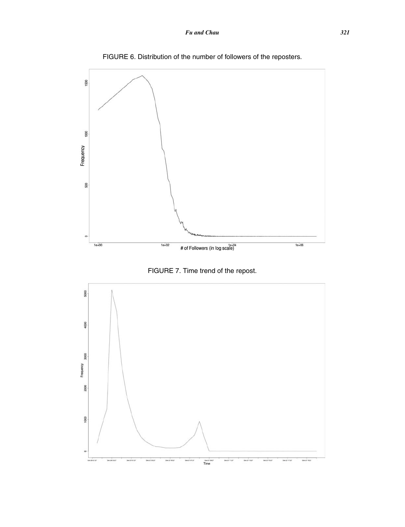<span id="page-13-0"></span>

FIGURE 6. Distribution of the number of followers of the reposters.



<span id="page-13-1"></span>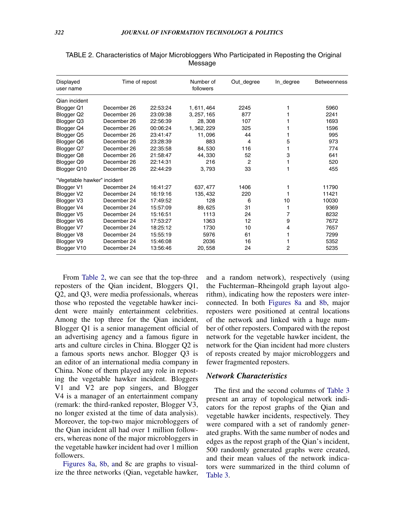| Displayed<br>user name      | Time of repost |          | Number of<br>followers | Out_degree | In_degree | <b>Betweenness</b> |
|-----------------------------|----------------|----------|------------------------|------------|-----------|--------------------|
| Qian incident               |                |          |                        |            |           |                    |
| Blogger Q1                  | December 26    | 22:53:24 | 1,611,464              | 2245       |           | 5960               |
| Blogger Q2                  | December 26    | 23:09:38 | 3, 257, 165            | 877        |           | 2241               |
| Blogger Q3                  | December 26    | 22:56:39 | 28.308                 | 107        |           | 1693               |
| Blogger Q4                  | December 26    | 00:06:24 | 1, 362, 229            | 325        |           | 1596               |
| Blogger Q5                  | December 26    | 23:41:47 | 11,096                 | 44         |           | 995                |
| Blogger Q6                  | December 26    | 23:28:39 | 883                    | 4          | 5         | 973                |
| Blogger Q7                  | December 26    | 22:35:58 | 84,530                 | 116        |           | 774                |
| Blogger Q8                  | December 26    | 21:58:47 | 44,330                 | 52         | 3         | 641                |
| Blogger Q9                  | December 26    | 22:14:31 | 216                    | 2          |           | 520                |
| Blogger Q10                 | December 26    | 22:44:29 | 3,793                  | 33         |           | 455                |
| "Vegetable hawker" incident |                |          |                        |            |           |                    |
| Blogger V1                  | December 24    | 16:41:27 | 637, 477               | 1406       |           | 11790              |
| Blogger V2                  | December 24    | 16:19:16 | 135, 432               | 220        |           | 11421              |
| Blogger V3                  | December 24    | 17:49:52 | 128                    | 6          | 10        | 10030              |
| Blogger V4                  | December 24    | 15:57:09 | 89,625                 | 31         |           | 9369               |
| Blogger V5                  | December 24    | 15:16:51 | 1113                   | 24         | 7         | 8232               |
| Blogger V6                  | December 24    | 17:53:27 | 1363                   | 12         | 9         | 7672               |
| Blogger V7                  | December 24    | 18:25:12 | 1730                   | 10         | 4         | 7657               |
| Blogger V8                  | December 24    | 15:55:19 | 5976                   | 61         |           | 7299               |
| Blogger V9                  | December 24    | 15:46:08 | 2036                   | 16         |           | 5352               |
| Blogger V10                 | December 24    | 13:56:46 | 20,558                 | 24         | 2         | 5235               |

<span id="page-14-0"></span>TABLE 2. Characteristics of Major Microbloggers Who Participated in Reposting the Original Message

From [Table 2,](#page-14-0) we can see that the top-three reposters of the Qian incident, Bloggers Q1, Q2, and Q3, were media professionals, whereas those who reposted the vegetable hawker incident were mainly entertainment celebrities. Among the top three for the Qian incident, Blogger Q1 is a senior management official of an advertising agency and a famous figure in arts and culture circles in China. Blogger Q2 is a famous sports news anchor. Blogger Q3 is an editor of an international media company in China. None of them played any role in reposting the vegetable hawker incident. Bloggers V1 and V2 are pop singers, and Blogger V4 is a manager of an entertainment company (remark: the third-ranked reposter, Blogger V3, no longer existed at the time of data analysis). Moreover, the top-two major microbloggers of the Qian incident all had over 1 million followers, whereas none of the major microbloggers in the vegetable hawker incident had over 1 million followers.

[Figures 8a,](#page-15-0) [8b,](#page-15-1) [an](#page-15-0)d 8c are graphs to visualize the three networks (Qian, vegetable hawker, and a random network), respectively (using the Fuchterman–Rheingold graph layout algorithm), indicating how the reposters were interconnected. In both [Figures 8a](#page-15-0) and [8b,](#page-15-1) major reposters were positioned at central locations of the network and linked with a huge number of other reposters. Compared with the repost network for the vegetable hawker incident, the network for the Qian incident had more clusters of reposts created by major microbloggers and fewer fragmented reposters.

## *Network Characteristics*

The first and the second columns of [Table 3](#page-16-0) present an array of topological network indicators for the repost graphs of the Qian and vegetable hawker incidents, respectively. They were compared with a set of randomly generated graphs. With the same number of nodes and edges as the repost graph of the Qian's incident, 500 randomly generated graphs were created, and their mean values of the network indicators were summarized in the third column of [Table 3.](#page-16-0)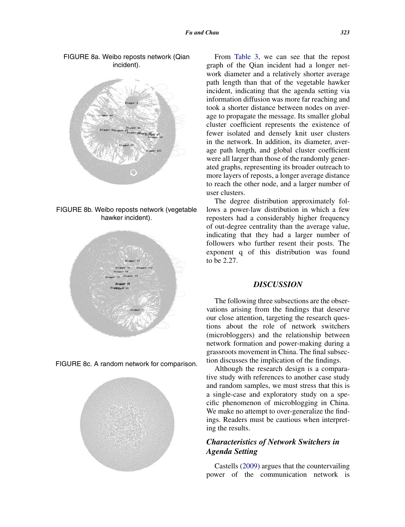<span id="page-15-0"></span>orger Marey

FIGURE 8b. Weibo reposts network (vegetable hawker incident).

<span id="page-15-1"></span>

FIGURE 8c. A random network for comparison.



From [Table 3,](#page-16-0) we can see that the repost graph of the Qian incident had a longer network diameter and a relatively shorter average path length than that of the vegetable hawker incident, indicating that the agenda setting via information diffusion was more far reaching and took a shorter distance between nodes on average to propagate the message. Its smaller global cluster coefficient represents the existence of fewer isolated and densely knit user clusters in the network. In addition, its diameter, average path length, and global cluster coefficient were all larger than those of the randomly generated graphs, representing its broader outreach to more layers of reposts, a longer average distance to reach the other node, and a larger number of user clusters.

The degree distribution approximately follows a power-law distribution in which a few reposters had a considerably higher frequency of out-degree centrality than the average value, indicating that they had a larger number of followers who further resent their posts. The exponent q of this distribution was found to be 2.27.

## *DISCUSSION*

The following three subsections are the observations arising from the findings that deserve our close attention, targeting the research questions about the role of network switchers (microbloggers) and the relationship between network formation and power-making during a grassroots movement in China. The final subsection discusses the implication of the findings.

Although the research design is a comparative study with references to another case study and random samples, we must stress that this is a single-case and exploratory study on a specific phenomenon of microblogging in China. We make no attempt to over-generalize the findings. Readers must be cautious when interpreting the results.

# *Characteristics of Network Switchers in Agenda Setting*

Castells [\(2009\)](#page-19-8) argues that the countervailing power of the communication network is

FIGURE 8a. Weibo reposts network (Qian incident).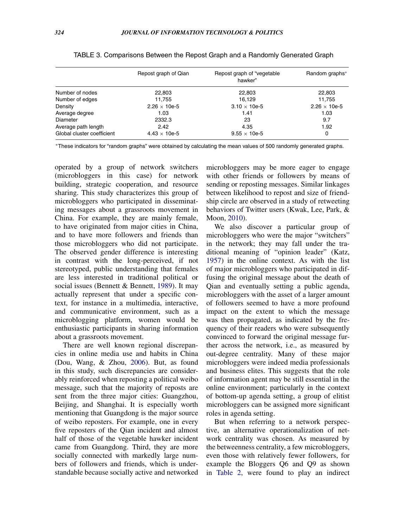|                            | Repost graph of Qian | Repost graph of "vegetable<br>hawker" | Random graphs*      |
|----------------------------|----------------------|---------------------------------------|---------------------|
| Number of nodes            | 22,803               | 22,803                                | 22,803              |
| Number of edges            | 11.755               | 16.129                                | 11.755              |
| Density                    | $2.26 \times 10e-5$  | $3.10 \times 10e-5$                   | $2.26 \times 10e-5$ |
| Average degree             | 1.03                 | 1.41                                  | 1.03                |
| Diameter                   | 2332.3               | 23                                    | 9.7                 |
| Average path length        | 2.42                 | 4.35                                  | 1.92                |
| Global cluster coefficient | $4.43 \times 10e-5$  | $9.55 \times 10e-5$                   | 0                   |

TABLE 3. Comparisons Between the Repost Graph and a Randomly Generated Graph

∗These indicators for "random graphs" were obtained by calculating the mean values of 500 randomly generated graphs.

operated by a group of network switchers (microbloggers in this case) for network building, strategic cooperation, and resource sharing. This study characterizes this group of microbloggers who participated in disseminating messages about a grassroots movement in China. For example, they are mainly female, to have originated from major cities in China, and to have more followers and friends than those microbloggers who did not participate. The observed gender difference is interesting in contrast with the long-perceived, if not stereotyped, public understanding that females are less interested in traditional political or social issues (Bennett & Bennett, [1989\)](#page-19-24). It may actually represent that under a specific context, for instance in a multimedia, interactive, and communicative environment, such as a microblogging platform, women would be enthusiastic participants in sharing information about a grassroots movement.

There are well known regional discrepancies in online media use and habits in China (Dou, Wang, & Zhou, [2006\)](#page-19-25). But, as found in this study, such discrepancies are considerably reinforced when reposting a political weibo message, such that the majority of reposts are sent from the three major cities: Guangzhou, Beijing, and Shanghai. It is especially worth mentioning that Guangdong is the major source of weibo reposters. For example, one in every five reposters of the Qian incident and almost half of those of the vegetable hawker incident came from Guangdong. Third, they are more socially connected with markedly large numbers of followers and friends, which is understandable because socially active and networked <span id="page-16-0"></span>microbloggers may be more eager to engage with other friends or followers by means of sending or reposting messages. Similar linkages between likelihood to repost and size of friendship circle are observed in a study of retweeting behaviors of Twitter users (Kwak, Lee, Park, & Moon, [2010\)](#page-20-26).

We also discover a particular group of microbloggers who were the major "switchers" in the network; they may fall under the traditional meaning of "opinion leader" (Katz, [1957\)](#page-20-27) in the online context. As with the list of major microbloggers who participated in diffusing the original message about the death of Qian and eventually setting a public agenda, microbloggers with the asset of a larger amount of followers seemed to have a more profound impact on the extent to which the message was then propagated, as indicated by the frequency of their readers who were subsequently convinced to forward the original message further across the network, i.e., as measured by out-degree centrality. Many of these major microbloggers were indeed media professionals and business elites. This suggests that the role of information agent may be still essential in the online environment; particularly in the context of bottom-up agenda setting, a group of elitist microbloggers can be assigned more significant roles in agenda setting.

But when referring to a network perspective, an alternative operationalization of network centrality was chosen. As measured by the betweenness centrality, a few microbloggers, even those with relatively fewer followers, for example the Bloggers Q6 and Q9 as shown in [Table 2,](#page-14-0) were found to play an indirect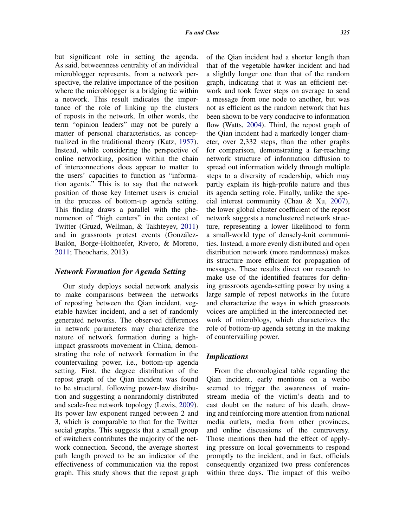but significant role in setting the agenda. As said, betweenness centrality of an individual microblogger represents, from a network perspective, the relative importance of the position where the microblogger is a bridging tie within a network. This result indicates the importance of the role of linking up the clusters of reposts in the network. In other words, the term "opinion leaders" may not be purely a matter of personal characteristics, as conceptualized in the traditional theory (Katz, [1957\)](#page-20-27). Instead, while considering the perspective of online networking, position within the chain of interconnections does appear to matter to the users' capacities to function as "information agents." This is to say that the network position of those key Internet users is crucial in the process of bottom-up agenda setting. This finding draws a parallel with the phenomenon of "high centers" in the context of Twitter (Gruzd, Wellman, & Takhteyev, [2011\)](#page-19-26) and in grassroots protest events (González-Bailón, Borge-Holthoefer, Rivero, & Moreno, [2011;](#page-19-27) Theocharis, 2013).

## *Network Formation for Agenda Setting*

Our study deploys social network analysis to make comparisons between the networks of reposting between the Qian incident, vegetable hawker incident, and a set of randomly generated networks. The observed differences in network parameters may characterize the nature of network formation during a highimpact grassroots movement in China, demonstrating the role of network formation in the countervailing power, i.e., bottom-up agenda setting. First, the degree distribution of the repost graph of the Qian incident was found to be structural, following power-law distribution and suggesting a nonrandomly distributed and scale-free network topology (Lewis, [2009\)](#page-20-24). Its power law exponent ranged between 2 and 3, which is comparable to that for the Twitter social graphs. This suggests that a small group of switchers contributes the majority of the network connection. Second, the average shortest path length proved to be an indicator of the effectiveness of communication via the repost graph. This study shows that the repost graph of the Qian incident had a shorter length than that of the vegetable hawker incident and had a slightly longer one than that of the random graph, indicating that it was an efficient network and took fewer steps on average to send a message from one node to another, but was not as efficient as the random network that has been shown to be very conducive to information flow (Watts, [2004\)](#page-20-28). Third, the repost graph of the Qian incident had a markedly longer diameter, over 2,332 steps, than the other graphs for comparison, demonstrating a far-reaching network structure of information diffusion to spread out information widely through multiple steps to a diversity of readership, which may partly explain its high-profile nature and thus its agenda setting role. Finally, unlike the special interest community (Chau & Xu, [2007\)](#page-19-19), the lower global cluster coefficient of the repost network suggests a nonclustered network structure, representing a lower likelihood to form a small-world type of densely-knit communities. Instead, a more evenly distributed and open distribution network (more randomness) makes its structure more efficient for propagation of messages. These results direct our research to make use of the identified features for defining grassroots agenda-setting power by using a large sample of repost networks in the future and characterize the ways in which grassroots voices are amplified in the interconnected network of microblogs, which characterizes the role of bottom-up agenda setting in the making of countervailing power.

#### *Implications*

From the chronological table regarding the Qian incident, early mentions on a weibo seemed to trigger the awareness of mainstream media of the victim's death and to cast doubt on the nature of his death, drawing and reinforcing more attention from national media outlets, media from other provinces, and online discussions of the controversy. Those mentions then had the effect of applying pressure on local governments to respond promptly to the incident, and in fact, officials consequently organized two press conferences within three days. The impact of this weibo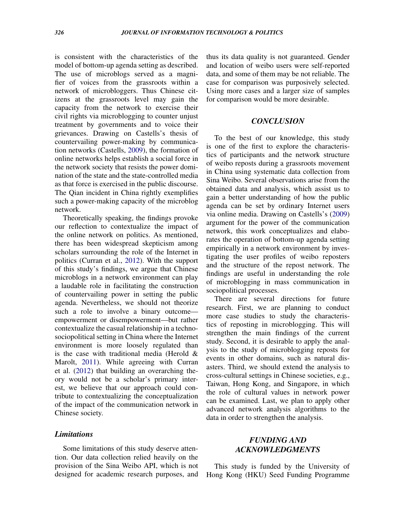is consistent with the characteristics of the model of bottom-up agenda setting as described. The use of microblogs served as a magnifier of voices from the grassroots within a network of microbloggers. Thus Chinese citizens at the grassroots level may gain the capacity from the network to exercise their civil rights via microblogging to counter unjust treatment by governments and to voice their grievances. Drawing on Castells's thesis of countervailing power-making by communication networks (Castells, [2009\)](#page-19-8), the formation of online networks helps establish a social force in the network society that resists the power domination of the state and the state-controlled media as that force is exercised in the public discourse. The Qian incident in China rightly exemplifies such a power-making capacity of the microblog network.

Theoretically speaking, the findings provoke our reflection to contextualize the impact of the online network on politics. As mentioned, there has been widespread skepticism among scholars surrounding the role of the Internet in politics (Curran et al., [2012\)](#page-19-18). With the support of this study's findings, we argue that Chinese microblogs in a network environment can play a laudable role in facilitating the construction of countervailing power in setting the public agenda. Nevertheless, we should not theorize such a role to involve a binary outcome empowerment or disempowerment—but rather contextualize the casual relationship in a technosociopolitical setting in China where the Internet environment is more loosely regulated than is the case with traditional media (Herold  $\&$ Marolt, [2011\)](#page-19-28). While agreeing with Curran et al. [\(2012\)](#page-19-18) that building an overarching theory would not be a scholar's primary interest, we believe that our approach could contribute to contextualizing the conceptualization of the impact of the communication network in Chinese society.

## *Limitations*

Some limitations of this study deserve attention. Our data collection relied heavily on the provision of the Sina Weibo API, which is not designed for academic research purposes, and

thus its data quality is not guaranteed. Gender and location of weibo users were self-reported data, and some of them may be not reliable. The case for comparison was purposively selected. Using more cases and a larger size of samples for comparison would be more desirable.

#### *CONCLUSION*

To the best of our knowledge, this study is one of the first to explore the characteristics of participants and the network structure of weibo reposts during a grassroots movement in China using systematic data collection from Sina Weibo. Several observations arise from the obtained data and analysis, which assist us to gain a better understanding of how the public agenda can be set by ordinary Internet users via online media. Drawing on Castells's [\(2009\)](#page-19-8) argument for the power of the communication network, this work conceptualizes and elaborates the operation of bottom-up agenda setting empirically in a network environment by investigating the user profiles of weibo reposters and the structure of the repost network. The findings are useful in understanding the role of microblogging in mass communication in sociopolitical processes.

There are several directions for future research. First, we are planning to conduct more case studies to study the characteristics of reposting in microblogging. This will strengthen the main findings of the current study. Second, it is desirable to apply the analysis to the study of microblogging reposts for events in other domains, such as natural disasters. Third, we should extend the analysis to cross-cultural settings in Chinese societies, e.g., Taiwan, Hong Kong, and Singapore, in which the role of cultural values in network power can be examined. Last, we plan to apply other advanced network analysis algorithms to the data in order to strengthen the analysis.

# *FUNDING AND ACKNOWLEDGMENTS*

This study is funded by the University of Hong Kong (HKU) Seed Funding Programme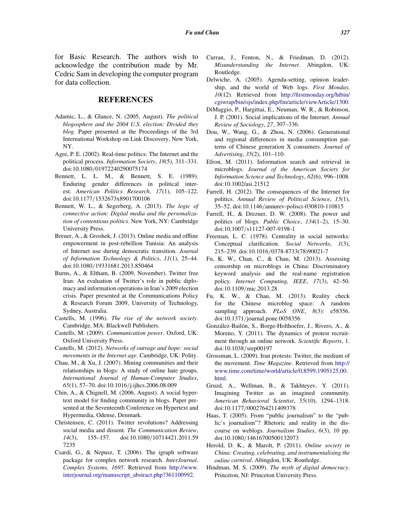for Basic Research. The authors wish to acknowledge the contribution made by Mr. Cedric Sam in developing the computer program for data collection.

## **REFERENCES**

- <span id="page-19-2"></span>Adamic, L., & Glance, N. (2005, August). *The political blogosphere and the 2004 U.S. election: Divided they blog*. Paper presented at the Proceedings of the 3rd International Workshop on Link Discovery, New York, NY.
- <span id="page-19-12"></span>Agre, P. E. (2002). Real-time politics: The Internet and the political process. *Information Society*, *18*(5), 311–331. doi:10.1080*/*01972240290075174
- <span id="page-19-24"></span>Bennett, L. L. M., & Bennett, S. E. (1989). Enduring gender differences in political interest. *American Politics Research*, *17*(1), 105–122. doi:10.1177*/*1532673x8901700106
- <span id="page-19-5"></span>Bennett, W. L., & Segerberg, A. (2013). *The logic of connective action: Digital media and the personalization of contentious politics*. New York, NY: Cambridge University Press.
- <span id="page-19-16"></span>Breuer, A., & Groshek, J. (2013). Online media and offline empowerment in post-rebellion Tunisia: An analysis of Internet use during democratic transition. *Journal of Information Technology & Politics*, *11*(1), 25–44. doi:10.1080*/*19331681.2013.850464
- <span id="page-19-3"></span>Burns, A., & Eltham, B. (2009, November). Twitter free Iran: An evaluation of Twitter's role in public diplomacy and information operations in Iran's 2009 election crisis. Paper presented at the Communications Policy & Research Forum 2009, University of Technology, Sydney, Australia.
- <span id="page-19-7"></span>Castells, M. (1996). *The rise of the network society*. Cambridge, MA: Blackwell Publishers.
- <span id="page-19-8"></span>Castells, M. (2009). *Communication power*. Oxford, UK: Oxford University Press.
- <span id="page-19-9"></span>Castells, M. (2012). *Networks of outrage and hope: social movements in the Internet age*. Cambridge, UK: Polity.
- <span id="page-19-19"></span>Chau, M., & Xu, J. (2007). Mining communities and their relationships in blogs: A study of online hate groups. *International Journal of Human-Computer Studies*, *65*(1), 57–70. doi:10.1016*/*j.ijhcs.2006.08.009
- <span id="page-19-21"></span>Chin, A., & Chignell, M. (2006, August). A social hypertext model for finding community in blogs. Paper presented at the Seventeenth Conference on Hypertext and Hypermedia, Odense, Denmark.
- <span id="page-19-17"></span>Christensen, C. (2011). Twitter revolutions? Addressing social media and dissent. *The Communication Review*, *14*(3), 155–157. doi:10.1080*/*10714421.2011.59 7235
- <span id="page-19-20"></span>Csardi, G., & Nepusz, T. (2006). The igraph software package for complex network research. *InterJournal, Complex Systems, 1695*. Retrieved from [http://www.](http://www.interjournal.org/manuscript_abstract.php?361100992) [interjournal.org/manuscript\\_abstract.php?361100992.](http://www.interjournal.org/manuscript_abstract.php?361100992)
- <span id="page-19-18"></span>Curran, J., Fenton, N., & Friedman, D. (2012). *Misunderstanding the Internet*. Abingdon, UK: Routledge.
- <span id="page-19-13"></span>Delwiche, A. (2005). Agenda-setting, opinion leadership, and the world of Web logs. *First Monday, 10*(12). Retrieved from [http://firstmonday.org/htbin/](http://firstmonday.org/htbin/cgiwrap/bin/ojs/index.php/fm/article/viewArticle/1300) [cgiwrap/bin/ojs/index.php/fm/article/viewArticle/1300.](http://firstmonday.org/htbin/cgiwrap/bin/ojs/index.php/fm/article/viewArticle/1300)
- <span id="page-19-0"></span>DiMaggio, P., Hargittai, E., Neuman, W. R., & Robinson, J. P. (2001). Social implications of the Internet. *Annual Review of Sociology*, *27*, 307–336.
- <span id="page-19-25"></span>Dou, W., Wang, G., & Zhou, N. (2006). Generational and regional differences in media consumption patterns of Chinese generation X consumers. *Journal of Advertising*, *35*(2), 101–110.
- <span id="page-19-1"></span>Efron, M. (2011). Information search and retrieval in microblogs. *Journal of the American Society for Information Science and Technology*, *62*(6), 996–1008. doi:10.1002/asi.21512
- <span id="page-19-10"></span>Farrell, H. (2012). The consequences of the Internet for politics. *Annual Review of Political Science*, *15*(1), 35–52. doi:10.1146*/*annurev-polisci-030810-110815
- <span id="page-19-11"></span>Farrell, H., & Drezner, D. W. (2008). The power and politics of blogs. *Public Choice*, *134*(1–2), 15–30. doi:10.1007*/*s11127-007-9198-1
- <span id="page-19-22"></span>Freeman, L. C. (1978). Centrality in social networks: Conceptual clarification. *Social Networks*, *1*(3), 215–239. doi:10.1016*/*0378-8733(78)90021-7
- <span id="page-19-6"></span>Fu, K. W., Chan, C., & Chau, M. (2013). Assessing censorship on microblogs in China: Discriminatory keyword analysis and the real-name registration policy. *Internet Computing, IEEE*, *17*(3), 42–50. doi:10.1109*/*mic.2013.28
- <span id="page-19-23"></span>Fu, K. W., & Chau, M. (2013). Reality check for the Chinese microblog space: A random sampling approach. *PLoS ONE*, *8*(3): e58356. doi:10.1371*/*journal.pone.0058356
- <span id="page-19-27"></span>González-Bailón, S., Borge-Holthoefer, J., Rivero, A., & Moreno, Y. (2011). The dynamics of protest recruitment through an online network. *Scientific Reports*, 1. doi:10.1038*/*srep00197
- <span id="page-19-4"></span>Grossman, L. (2009). Iran protests: Twitter, the medium of the movement. *Time Magazine*. Retrieved from [http://](http://www.time.com/time/world/article/0,8599,1905125,00.html) [www.time.com/time/world/article/0,8599,1905125,00.](http://www.time.com/time/world/article/0,8599,1905125,00.html) [html.](http://www.time.com/time/world/article/0,8599,1905125,00.html)
- <span id="page-19-26"></span>Gruzd, A., Wellman, B., & Takhteyev, Y. (2011). Imagining Twitter as an imagined community. *American Behavioral Scientist*, *55*(10), 1294–1318. doi:10.1177*/*0002764211409378
- <span id="page-19-14"></span>Haas, T. (2005). From "public journalism" to the "public's journalism"? Rhetoric and reality in the discourse on weblogs. *Journalism Studies*, *6*(3), 10 pp. doi:10.1080*/*14616700500132073
- <span id="page-19-28"></span>Herold, D. K., & Marolt, P. (2011). *Online society in China: Creating, celebrating, and instrumentalising the online carnival*. Abingdon, UK: Routledge.
- <span id="page-19-15"></span>Hindman, M. S. (2009). *The myth of digital democracy*. Princeton, NJ: Princeton University Press.